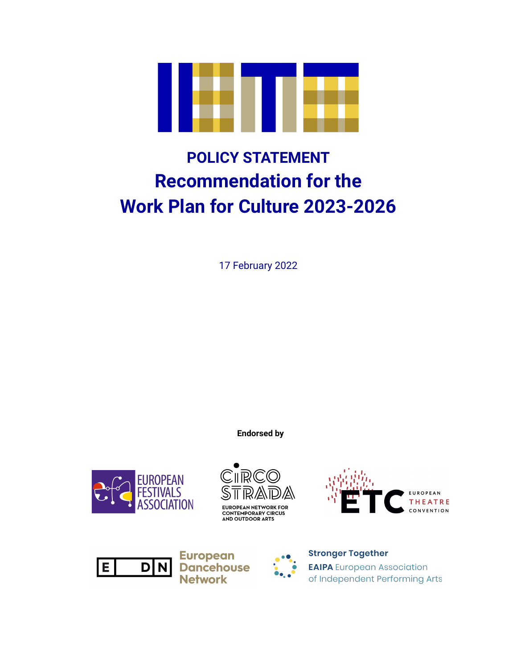

# **POLICY STATEMENT Recommendation for the Work Plan for Culture 2023-2026**

17 February 2022

**Endorsed by**









**European Dancehouse Network** 

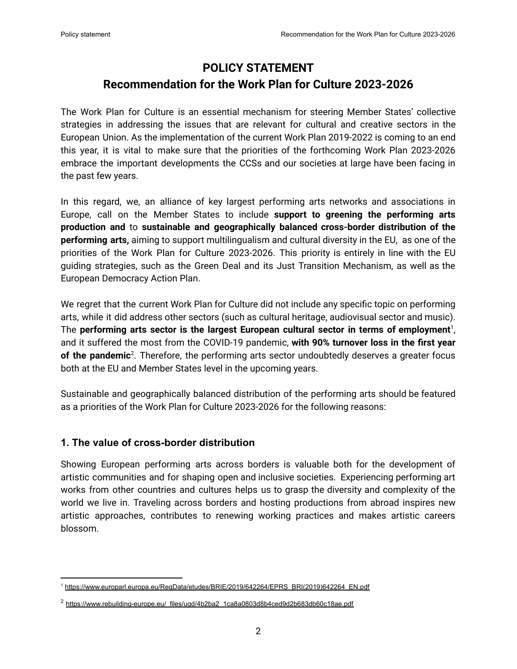## **POLICY STATEMENT Recommendation for the Work Plan for Culture 2023-2026**

The Work Plan for Culture is an essential mechanism for steering Member States' collective strategies in addressing the issues that are relevant for cultural and creative sectors in the European Union. As the implementation of the current Work Plan 2019-2022 is coming to an end this year, it is vital to make sure that the priorities of the forthcoming Work Plan 2023-2026 embrace the important developments the CCSs and our societies at large have been facing in the past few years.

In this regard, we, an alliance of key largest performing arts networks and associations in Europe, call on the Member States to include **support to greening the performing arts production and** to **sustainable and geographically balanced cross-border distribution of the performing arts,** aiming to support multilingualism and cultural diversity in the EU, as one of the priorities of the Work Plan for Culture 2023-2026. This priority is entirely in line with the EU guiding strategies, such as the Green Deal and its Just Transition Mechanism, as well as the European Democracy Action Plan.

We regret that the current Work Plan for Culture did not include any specific topic on performing arts, while it did address other sectors (such as cultural heritage, audiovisual sector and music). The **performing arts sector is the largest European cultural sector in terms of employment** 1 , and it suffered the most from the COVID-19 pandemic, **with 90% turnover loss in the first year** of the pandemic<sup>2</sup>. Therefore, the performing arts sector undoubtedly deserves a greater focus both at the EU and Member States level in the upcoming years.

Sustainable and geographically balanced distribution of the performing arts should be featured as a priorities of the Work Plan for Culture 2023-2026 for the following reasons:

### **1. The value of cross-border distribution**

Showing European performing arts across borders is valuable both for the development of artistic communities and for shaping open and inclusive societies. Experiencing performing art works from other countries and cultures helps us to grasp the diversity and complexity of the world we live in. Traveling across borders and hosting productions from abroad inspires new artistic approaches, contributes to renewing working practices and makes artistic careers blossom.

<sup>1</sup> [https://www.europarl.europa.eu/RegData/etudes/BRIE/2019/642264/EPRS\\_BRI\(2019\)642264\\_EN.pdf](https://www.europarl.europa.eu/RegData/etudes/BRIE/2019/642264/EPRS_BRI(2019)642264_EN.pdf)

<sup>2</sup> [https://www.rebuilding-europe.eu/\\_files/ugd/4b2ba2\\_1ca8a0803d8b4ced9d2b683db60c18ae.pdf](https://www.rebuilding-europe.eu/_files/ugd/4b2ba2_1ca8a0803d8b4ced9d2b683db60c18ae.pdf)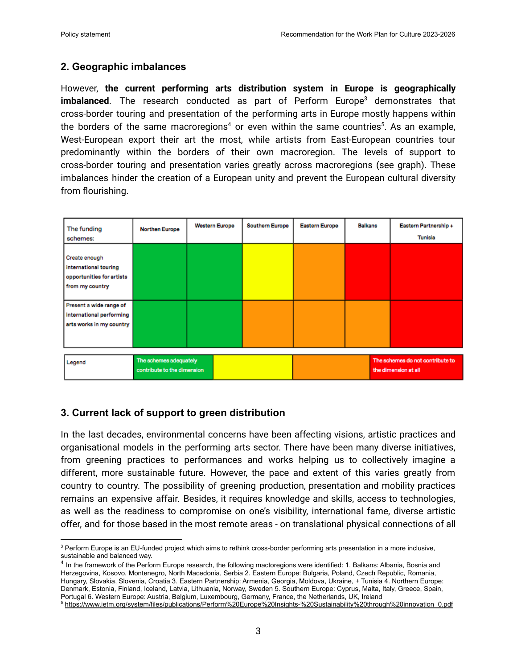#### **2. Geographic imbalances**

However, **the current performing arts distribution system in Europe is geographically imbalanced**. The research conducted as part of Perform Europe <sup>3</sup> demonstrates that cross-border touring and presentation of the performing arts in Europe mostly happens within the borders of the same macroregions<sup>4</sup> or even within the same countries<sup>5</sup>. As an example, West-European export their art the most, while artists from East-European countries tour predominantly within the borders of their own macroregion. The levels of support to cross-border touring and presentation varies greatly across macroregions (see graph). These imbalances hinder the creation of a European unity and prevent the European cultural diversity from flourishing.

| The funding<br>schemes:                                                                | <b>Northen Europe</b>                                 | <b>Western Europe</b> | Southern Europe | <b>Eastern Europe</b> | <b>Balkans</b> |  | Eastern Partnership +<br>Tunisia |
|----------------------------------------------------------------------------------------|-------------------------------------------------------|-----------------------|-----------------|-----------------------|----------------|--|----------------------------------|
| Create enough<br>international touring<br>opportunities for artists<br>from my country |                                                       |                       |                 |                       |                |  |                                  |
| Present a wide range of<br>international performing<br>arts works in my country        |                                                       |                       |                 |                       |                |  |                                  |
| Legend                                                                                 | The schemes adequately<br>contribute to the dimension |                       |                 | the dimension at all  |                |  | The schemes do not contribute to |

### **3. Current lack of support to green distribution**

In the last decades, environmental concerns have been affecting visions, artistic practices and organisational models in the performing arts sector. There have been many diverse initiatives, from greening practices to performances and works helping us to collectively imagine a different, more sustainable future. However, the pace and extent of this varies greatly from country to country. The possibility of greening production, presentation and mobility practices remains an expensive affair. Besides, it requires knowledge and skills, access to technologies, as well as the readiness to compromise on one's visibility, international fame, diverse artistic offer, and for those based in the most remote areas - on translational physical connections of all

<sup>&</sup>lt;sup>3</sup> Perform Europe is an EU-funded project which aims to rethink cross-border performing arts presentation in a more inclusive, sustainable and balanced way.

<sup>&</sup>lt;sup>4</sup> In the framework of the Perform Europe research, the following mactoregions were identified: 1. Balkans: Albania, Bosnia and Herzegovina, Kosovo, Montenegro, North Macedonia, Serbia 2. Eastern Europe: Bulgaria, Poland, Czech Republic, Romania, Hungary, Slovakia, Slovenia, Croatia 3. Eastern Partnership: Armenia, Georgia, Moldova, Ukraine, + Tunisia 4. Northern Europe: Denmark, Estonia, Finland, Iceland, Latvia, Lithuania, Norway, Sweden 5. Southern Europe: Cyprus, Malta, Italy, Greece, Spain, Portugal 6. Western Europe: Austria, Belgium, Luxembourg, Germany, France, the Netherlands, UK, Ireland

<sup>5</sup> [https://www.ietm.org/system/files/publications/Perform%20Europe%20Insights-%20Sustainability%20through%20innovation\\_0.pdf](https://www.ietm.org/system/files/publications/Perform%20Europe%20Insights-%20Sustainability%20through%20innovation_0.pdf)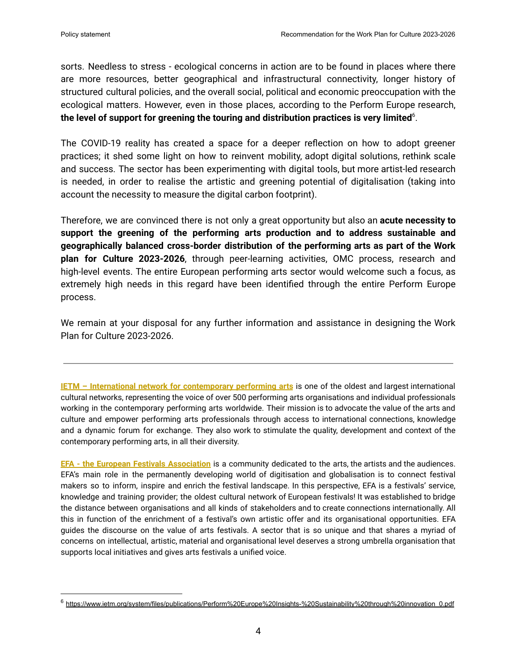sorts. Needless to stress - ecological concerns in action are to be found in places where there are more resources, better geographical and infrastructural connectivity, longer history of structured cultural policies, and the overall social, political and economic preoccupation with the ecological matters. However, even in those places, according to the Perform Europe research, **the level of support for greening the touring and distribution practices is very limited** 6 .

The COVID-19 reality has created a space for a deeper reflection on how to adopt greener practices; it shed some light on how to reinvent mobility, adopt digital solutions, rethink scale and success. The sector has been experimenting with digital tools, but more artist-led research is needed, in order to realise the artistic and greening potential of digitalisation (taking into account the necessity to measure the digital carbon footprint).

Therefore, we are convinced there is not only a great opportunity but also an **acute necessity to support the greening of the performing arts production and to address sustainable and geographically balanced cross-border distribution of the performing arts as part of the Work plan for Culture 2023-2026**, through peer-learning activities, OMC process, research and high-level events. The entire European performing arts sector would welcome such a focus, as extremely high needs in this regard have been identified through the entire Perform Europe process.

We remain at your disposal for any further information and assistance in designing the Work Plan for Culture 2023-2026.

**IETM – International network for [contemporary](http://www.ietm.org) performing arts** is one of the oldest and largest international cultural networks, representing the voice of over 500 performing arts organisations and individual professionals working in the contemporary performing arts worldwide. Their mission is to advocate the value of the arts and culture and empower performing arts professionals through access to international connections, knowledge and a dynamic forum for exchange. They also work to stimulate the quality, development and context of the contemporary performing arts, in all their diversity.

**EFA - the European Festivals [Association](https://www.efa-aef.eu/en/home/)** is a community dedicated to the arts, the artists and the audiences. EFA's main role in the permanently developing world of digitisation and globalisation is to connect festival makers so to inform, inspire and enrich the festival landscape. In this perspective, EFA is a festivals' service, knowledge and training provider; the oldest cultural network of European festivals! It was established to bridge the distance between organisations and all kinds of stakeholders and to create connections internationally. All this in function of the enrichment of a festival's own artistic offer and its organisational opportunities. EFA guides the discourse on the value of arts festivals. A sector that is so unique and that shares a myriad of concerns on intellectual, artistic, material and organisational level deserves a strong umbrella organisation that supports local initiatives and gives arts festivals a unified voice.

<sup>6</sup> [https://www.ietm.org/system/files/publications/Perform%20Europe%20Insights-%20Sustainability%20through%20innovation\\_0.pdf](https://www.ietm.org/system/files/publications/Perform%20Europe%20Insights-%20Sustainability%20through%20innovation_0.pdf)